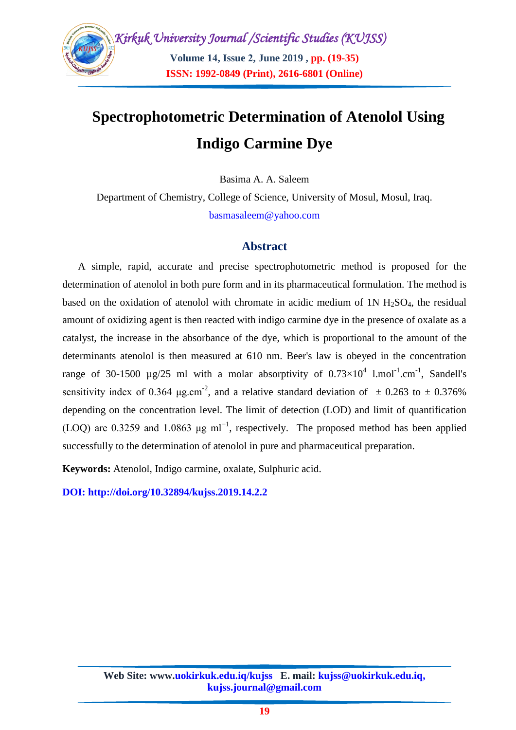

# **Spectrophotometric Determination of Atenolol Using Indigo Carmine Dye**

Basima A. A. Saleem

Department of Chemistry, College of Science, University of Mosul, Mosul, Iraq. [basmasaleem@yahoo.com](mailto:basmasaleem@yahoo.com)

#### **Abstract**

A simple, rapid, accurate and precise spectrophotometric method is proposed for the determination of atenolol in both pure form and in its pharmaceutical formulation. The method is based on the oxidation of atenolol with chromate in acidic medium of  $1N H<sub>2</sub>SO<sub>4</sub>$ , the residual amount of oxidizing agent is then reacted with indigo carmine dye in the presence of oxalate as a catalyst, the increase in the absorbance of the dye, which is proportional to the amount of the determinants atenolol is then measured at 610 nm. Beer's law is obeyed in the concentration range of 30-1500  $\mu$ g/25 ml with a molar absorptivity of  $0.73 \times 10^4$  l.mol<sup>-1</sup>.cm<sup>-1</sup>, Sandell's sensitivity index of 0.364  $\mu$ g.cm<sup>-2</sup>, and a relative standard deviation of  $\pm$  0.263 to  $\pm$  0.376% depending on the concentration level. The limit of detection (LOD) and limit of quantification (LOQ) are 0.3259 and 1.0863  $\mu$ g ml<sup>-1</sup>, respectively. The proposed method has been applied successfully to the determination of atenolol in pure and pharmaceutical preparation.

**Keywords:** Atenolol, Indigo carmine, oxalate, Sulphuric acid.

**DOI: http://doi.org/10.32894/kujss.2019.14.2.2**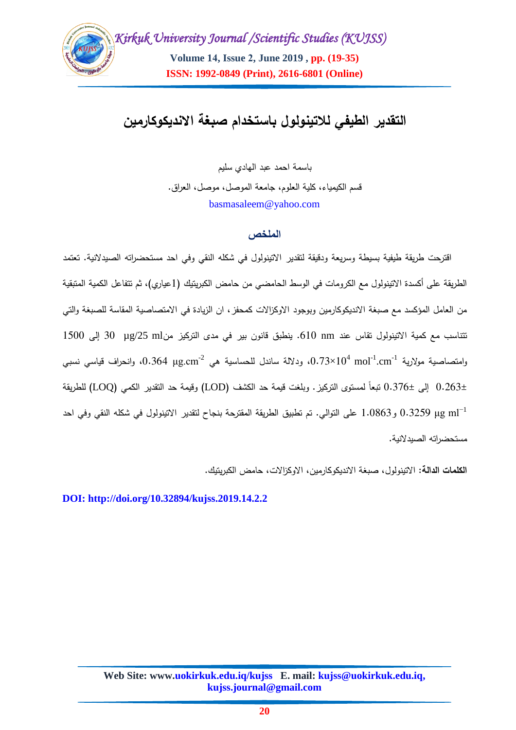

## **التقدير الطيفي لالتينولول باستخدام صبغة االنديكوكارمين**

باسمة احمد عبد الهادي سميم قسم الكيمياء، كمية العموم، جامعة الموصل، موصل، العراق. [basmasaleem@yahoo.com](mailto:basmasaleem@yahoo.com)

#### **الملخص**

اقترحت طريقة طيفية بسيطة وسريعة ودقيقة لتقدير االتينولول في شكمه النقي وفي احد مستحضراته الصيدالنية. تعتمد الطريقة على أكسدة الاتينولول مع الكرومات في الوسط الحامضي من حامض الكبريتيك (1عياري)، ثم تتفاعل الكمية المتبقية من العامل المؤكسد مع صبغة الانديكوكارمين وبوجود الاوكزالات كمحفز ، ان الزيادة في الامتصاصية المقاسة للصبغة والتي تتناسب مع كمية االتينولول تقاس عند nm .616 ينطبق قانون بير في مدى التركيز منml /25µg 36 إلى 1566 وامتصاصية مولارية mol<sup>-1</sup>.cm<sup>-1 (</sup>0.73×10<sup>4</sup> mol<sup>-1</sup>.cm)، ودلالة ساندل للحساسية هي 0.364 μg.cm<sup>-2،</sup> وانحراف قياسي نسبي 6.263± إلى 6.376± تبعاً لمستوى التركيز. و بمغت قيمة حد الكشف (LOD (وقيمة حد التقدير الكمي )LOQ )لمطريقة μg ml−1 0.3259 و1.0863 عمى التوالي. تم تطبيق الطريقة المقترحة بنجاح لتقدير االتينولول في شكمه النقي وفي احد مستحضراته الصيدالنية.

**الكممات الدالة**: االتينولول، صبغة االنديكوكارمين، االوكزاالت، حامض الكبريتيك.

**DOI: http://doi.org/10.32894/kujss.2019.14.2.2**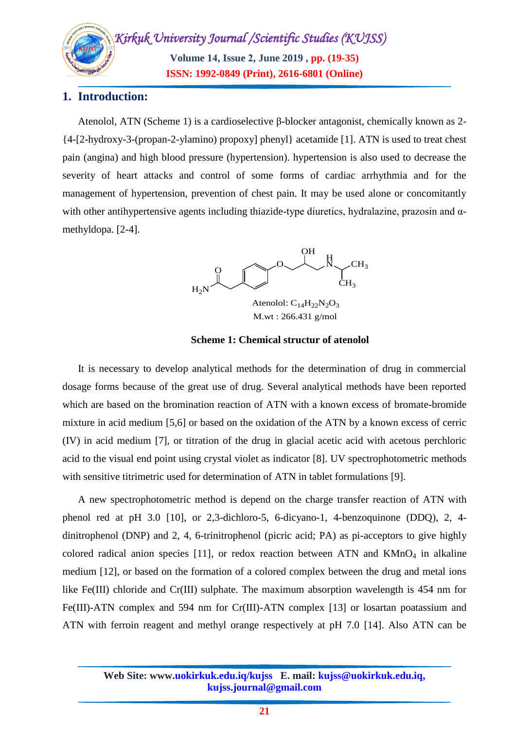*Kirkuk University Journal /Scientific Studies (KUJSS)*  **Volume 14, Issue 2, June 2019 , pp. (19-35) ISSN: 1992-0849 (Print), 2616-6801 (Online)**

## **1. Introduction:**

Atenolol, ATN (Scheme 1) is a cardioselective β-blocker antagonist, chemically known as 2- {4-[2-hydroxy-3-(propan-2-ylamino) propoxy] phenyl} acetamide [1]. ATN is used to treat chest pain (angina) and high blood pressure (hypertension). hypertension is also used to decrease the severity of heart attacks and control of some forms of cardiac arrhythmia and for the management of hypertension, prevention of chest pain. It may be used alone or concomitantly with other antihypertensive agents including thiazide-type diuretics, hydralazine, prazosin and  $\alpha$ methyldopa. [2-4].



**Scheme 1: Chemical structur of atenolol**

It is necessary to develop analytical methods for the determination of drug in commercial dosage forms because of the great use of drug. Several analytical methods have been reported which are based on the bromination reaction of ATN with a known excess of bromate-bromide mixture in acid medium [5,6] or based on the oxidation of the ATN by a known excess of cerric (IV) in acid medium [7], or titration of the drug in glacial acetic acid with acetous perchloric acid to the visual end point using crystal violet as indicator [8]. UV spectrophotometric methods with sensitive titrimetric used for determination of ATN in tablet formulations [9].

A new spectrophotometric method is depend on the charge transfer reaction of ATN with phenol red at pH 3.0 [10], or 2,3-dichloro-5, 6-dicyano-1, 4-benzoquinone (DDQ), 2, 4 dinitrophenol (DNP) and 2, 4, 6-trinitrophenol (picric acid; PA) as pi-acceptors to give highly colored radical anion species [11], or redox reaction between ATN and  $KMnO<sub>4</sub>$  in alkaline medium [12], or based on the formation of a colored complex between the drug and metal ions like Fe(III) chloride and Cr(III) sulphate. The maximum absorption wavelength is 454 nm for Fe(III)-ATN complex and 594 nm for Cr(III)-ATN complex [13] or losartan poatassium and ATN with ferroin reagent and methyl orange respectively at pH 7.0 [14]. Also ATN can be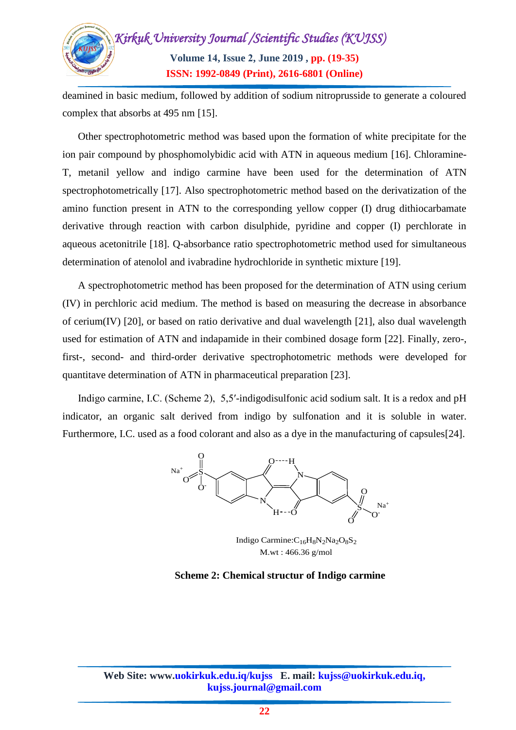

deamined in basic medium, followed by addition of sodium nitroprusside to generate a coloured complex that absorbs at 495 nm [15].

Other spectrophotometric method was based upon the formation of white precipitate for the ion pair compound by phosphomolybidic acid with ATN in aqueous medium [16]. Chloramine-T, metanil yellow and indigo carmine have been used for the determination of ATN spectrophotometrically [17]. Also spectrophotometric method based on the derivatization of the amino function present in ATN to the corresponding yellow copper (I) drug dithiocarbamate derivative through reaction with carbon disulphide, pyridine and copper (I) perchlorate in aqueous acetonitrile [18]. Q-absorbance ratio spectrophotometric method used for simultaneous determination of atenolol and ivabradine hydrochloride in synthetic mixture [19].

A spectrophotometric method has been proposed for the determination of ATN using cerium (IV) in perchloric acid medium. The method is based on measuring the decrease in absorbance of cerium(IV) [20], or based on ratio derivative and dual wavelength [21], also dual wavelength used for estimation of ATN and indapamide in their combined dosage form [22]. Finally, zero-, first-, second- and third-order derivative spectrophotometric methods were developed for quantitave determination of ATN in pharmaceutical preparation [23].

Indigo carmine, I.C. (Scheme 2), 5,5′-indigodisulfonic acid sodium salt. It is a redox and [pH](https://en.wikipedia.org/wiki/PH_indicator)  [indicator,](https://en.wikipedia.org/wiki/PH_indicator) an [organic salt](https://en.wikipedia.org/wiki/Organic_compound) derived from [indigo](https://en.wikipedia.org/wiki/Indigo_dye) by [sulfonation](https://en.wikipedia.org/wiki/Sulfonation) and it is soluble in water. Furthermore, I.C. used as a food colorant and also as a dye in the manufacturing of capsules[24].



Indigo Carmine: C<sub>16</sub>H<sub>8</sub>N<sub>2</sub>Na<sub>2</sub>O<sub>8</sub>S<sub>2</sub> M.wt : 466.36 g/mol

#### **Scheme 2: Chemical structur of Indigo carmine**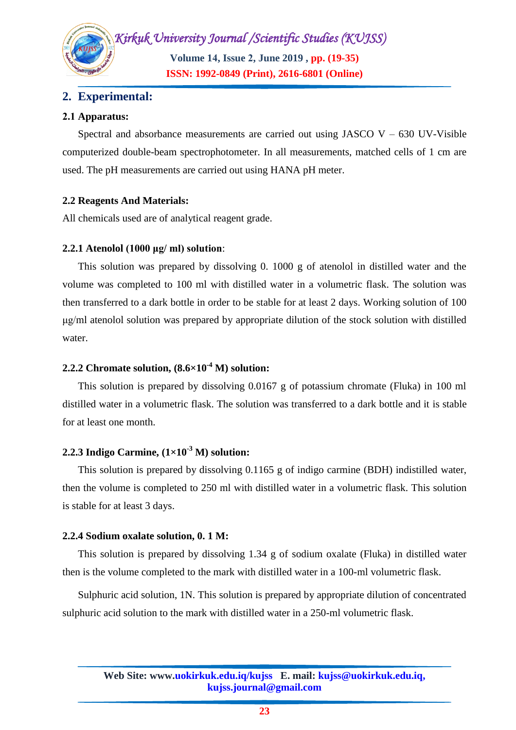**Volume 14, Issue 2, June 2019 , pp. (19-35) ISSN: 1992-0849 (Print), 2616-6801 (Online)**

## **2. Experimental:**

#### **2.2 Apparatus:**

Spectral and absorbance measurements are carried out using JASCO  $V - 630$  UV-Visible computerized double-beam spectrophotometer. In all measurements, matched cells of 1 cm are used. The pH measurements are carried out using HANA pH meter.

#### **2.2 Reagents And Materials:**

All chemicals used are of analytical reagent grade.

#### **2.2.1 Atenolol (1000 μg/ ml) solution**:

This solution was prepared by dissolving 0. 1000 g of atenolol in distilled water and the volume was completed to 100 ml with distilled water in a volumetric flask. The solution was then transferred to a dark bottle in order to be stable for at least 2 days. Working solution of 100 μg/ml atenolol solution was prepared by appropriate dilution of the stock solution with distilled water.

#### **2.2.2 Chromate solution, (8.6×10-4 M) solution:**

This solution is prepared by dissolving 0.0167 g of potassium chromate (Fluka) in 100 ml distilled water in a volumetric flask. The solution was transferred to a dark bottle and it is stable for at least one month.

## **2.2.3 Indigo Carmine, (1×10-3 M) solution:**

This solution is prepared by dissolving 0.1165 g of indigo carmine (BDH) indistilled water, then the volume is completed to 250 ml with distilled water in a volumetric flask. This solution is stable for at least 3 days.

#### **2.2.4 Sodium oxalate solution, 0. 1 M:**

This solution is prepared by dissolving 1.34 g of sodium oxalate (Fluka) in distilled water then is the volume completed to the mark with distilled water in a 100-ml volumetric flask.

Sulphuric acid solution, 1N. This solution is prepared by appropriate dilution of concentrated sulphuric acid solution to the mark with distilled water in a 250-ml volumetric flask.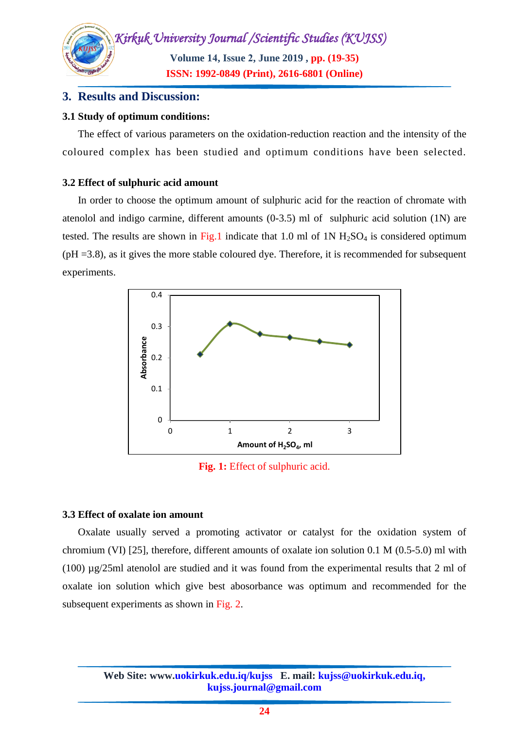

## **3. Results and Discussion:**

#### **3.1 Study of optimum conditions:**

The effect of various parameters on the oxidation-reduction reaction and the intensity of the coloured complex has been studied and optimum conditions have been selected.

#### **3.2 Effect of sulphuric acid amount**

In order to choose the optimum amount of sulphuric acid for the reaction of chromate with atenolol and indigo carmine, different amounts (0-3.5) ml of sulphuric acid solution (1N) are tested. The results are shown in Fig.1 indicate that 1.0 ml of 1N  $H<sub>2</sub>SO<sub>4</sub>$  is considered optimum  $(pH = 3.8)$ , as it gives the more stable coloured dye. Therefore, it is recommended for subsequent experiments.



**Fig. 1:** Effect of sulphuric acid.

## **3.3 Effect of oxalate ion amount**

Oxalate usually served a promoting activator or catalyst for the oxidation system of chromium (VI) [25], therefore, different amounts of oxalate ion solution 0.1 M (0.5-5.0) ml with (100) µg/25ml atenolol are studied and it was found from the experimental results that 2 ml of oxalate ion solution which give best abosorbance was optimum and recommended for the subsequent experiments as shown in Fig. 2.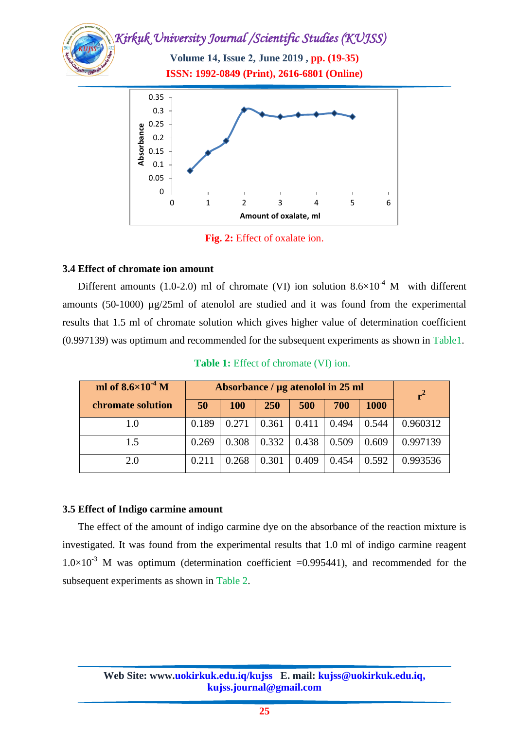**Volume 14, Issue 2, June 2019 , pp. (19-35) ISSN: 1992-0849 (Print), 2616-6801 (Online)**



**Fig. 2:** Effect of oxalate ion.

#### **3.4 Effect of chromate ion amount**

Different amounts (1.0-2.0) ml of chromate (VI) ion solution  $8.6\times10^{-4}$  M with different amounts (50-1000) µg/25ml of atenolol are studied and it was found from the experimental results that 1.5 ml of chromate solution which gives higher value of determination coefficient (0.997139) was optimum and recommended for the subsequent experiments as shown in Table1.

**Table 1:** Effect of chromate (VI) ion.

| ml of $8.6 \times 10^{-4}$ M | Absorbance / µg atenolol in 25 ml |            |            |       | $r^2$ |             |          |
|------------------------------|-----------------------------------|------------|------------|-------|-------|-------------|----------|
| chromate solution            | 50                                | <b>100</b> | <b>250</b> | 500   | 700   | <b>1000</b> |          |
| 1.0                          | 0.189                             | 0.271      | 0.361      | 0.411 | 0.494 | 0.544       | 0.960312 |
| 1.5                          | 0.269                             | 0.308      | 0.332      | 0.438 | 0.509 | 0.609       | 0.997139 |
| 2.0                          | 0.211                             | 0.268      | 0.301      | 0.409 | 0.454 | 0.592       | 0.993536 |

#### **3.5 Effect of Indigo carmine amount**

The effect of the amount of indigo carmine dye on the absorbance of the reaction mixture is investigated. It was found from the experimental results that 1.0 ml of indigo carmine reagent  $1.0\times10^{-3}$  M was optimum (determination coefficient =0.995441), and recommended for the subsequent experiments as shown in Table 2.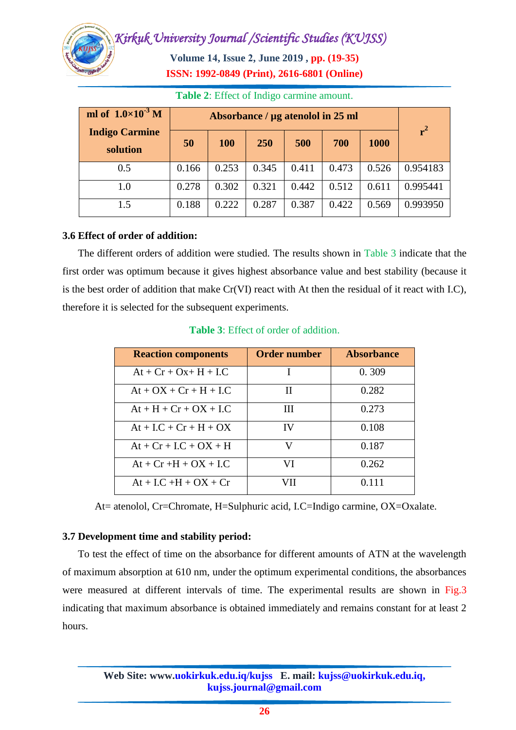**Volume 14, Issue 2, June 2019 , pp. (19-35) ISSN: 1992-0849 (Print), 2616-6801 (Online)**

| ml of $1.0\times10^{-3}$ M        | Absorbance / µg atenolol in 25 ml |            |            |       |       |       |          |
|-----------------------------------|-----------------------------------|------------|------------|-------|-------|-------|----------|
| <b>Indigo Carmine</b><br>solution | 50                                | <b>100</b> | <b>250</b> | 500   | 700   | 1000  | $r^2$    |
| 0.5                               | 0.166                             | 0.253      | 0.345      | 0.411 | 0.473 | 0.526 | 0.954183 |
| 1.0                               | 0.278                             | 0.302      | 0.321      | 0.442 | 0.512 | 0.611 | 0.995441 |
| 1.5                               | 0.188                             | 0.222      | 0.287      | 0.387 | 0.422 | 0.569 | 0.993950 |

**Table 2**: Effect of Indigo carmine amount.

#### **3.6 Effect of order of addition:**

The different orders of addition were studied. The results shown in Table 3 indicate that the first order was optimum because it gives highest absorbance value and best stability (because it is the best order of addition that make Cr(VI) react with At then the residual of it react with I.C), therefore it is selected for the subsequent experiments.

| <b>Reaction components</b> | <b>Order number</b> | <b>Absorbance</b> |
|----------------------------|---------------------|-------------------|
| $At + Cr + Ox + H + I.C$   |                     | 0.309             |
| $At + OX + Cr + H + I.C$   | H                   | 0.282             |
| $At + H + Cr + OX + I.C$   | Ш                   | 0.273             |
| $At + LC + Cr + H + OX$    | IV                  | 0.108             |
| $At + Cr + I.C + OX + H$   | V                   | 0.187             |
| $At + Cr +H + OX + I.C$    | VI                  | 0.262             |
| $At + I.C + H + OX + Cr$   | VII                 | 0.111             |

**Table 3**: Effect of order of addition.

At= atenolol, Cr=Chromate, H=Sulphuric acid, I.C=Indigo carmine, OX=Oxalate.

#### **3.7 Development time and stability period:**

To test the effect of time on the absorbance for different amounts of ATN at the wavelength of maximum absorption at 610 nm, under the optimum experimental conditions, the absorbances were measured at different intervals of time. The experimental results are shown in Fig.3 indicating that maximum absorbance is obtained immediately and remains constant for at least 2 hours.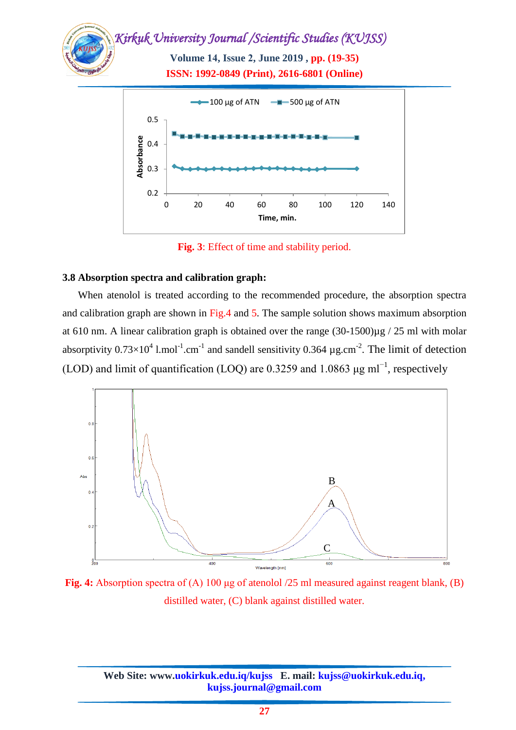

**Fig. 3**: Effect of time and stability period.

#### **3.8 Absorption spectra and calibration graph:**

When atenolol is treated according to the recommended procedure, the absorption spectra and calibration graph are shown in Fig.4 and 5. The sample solution shows maximum absorption at 610 nm. A linear calibration graph is obtained over the range  $(30-1500)\mu$ g / 25 ml with molar absorptivity  $0.73 \times 10^4$  l.mol<sup>-1</sup>.cm<sup>-1</sup> and sandell sensitivity 0.364  $\mu$ g.cm<sup>-2</sup>. The limit of detection (LOD) and limit of quantification (LOQ) are 0.3259 and 1.0863  $\mu$ g ml<sup>-1</sup>, respectively



**Fig. 4:** Absorption spectra of (A) 100 μg of atenolol /25 ml measured against reagent blank, (B) distilled water, (C) blank against distilled water.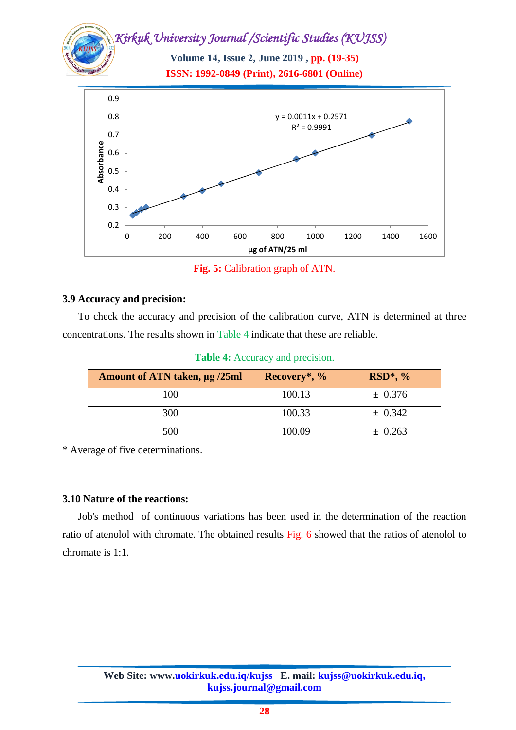**Volume 14, Issue 2, June 2019 , pp. (19-35) ISSN: 1992-0849 (Print), 2616-6801 (Online)**



**Fig. 5:** Calibration graph of ATN.

#### **3.9 Accuracy and precision:**

To check the accuracy and precision of the calibration curve, ATN is determined at three concentrations. The results shown in Table 4 indicate that these are reliable.

|  |  | <b>Table 4:</b> Accuracy and precision. |  |  |
|--|--|-----------------------------------------|--|--|
|--|--|-----------------------------------------|--|--|

| Amount of ATN taken, µg /25ml | Recovery*, % | $RSD^*, %$  |
|-------------------------------|--------------|-------------|
| 100                           | 100.13       | ± 0.376     |
| 300                           | 100.33       | $\pm 0.342$ |
| 500                           | 100.09       | $\pm 0.263$ |

\* Average of five determinations.

#### **3.10 Nature of the reactions:**

Job's method of continuous variations has been used in the determination of the reaction ratio of atenolol with chromate. The obtained results Fig. 6 showed that the ratios of atenolol to chromate is 1:1.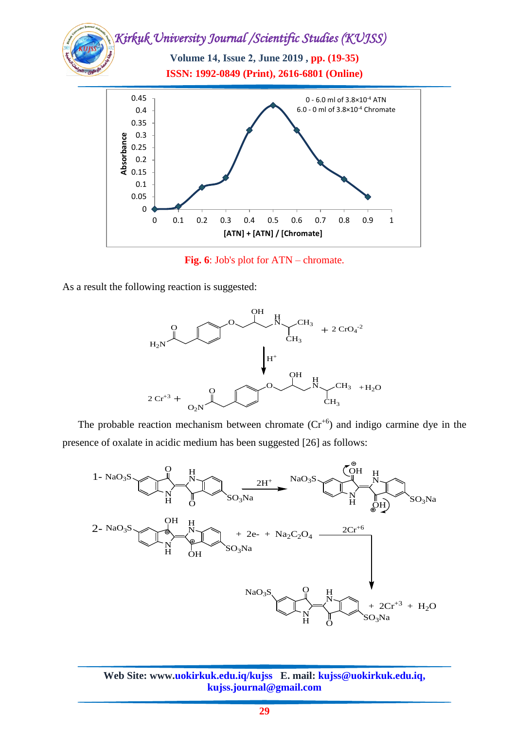*Kirkuk University Journal /Scientific Studies (KUJSS)*  **Volume 14, Issue 2, June 2019 , pp. (19-35) ISSN: 1992-0849 (Print), 2616-6801 (Online)** 0 0.05 0.1 0.15 0.2 0.25 **absorbance**<br> **Absorbance**<br> **Absorped**<br> **A** 0.15 0.35 0.4 0.45 0 0.1 0.2 0.3 0.4 0.5 0.6 0.7 0.8 0.9 1 **[ATN] + [ATN] / [Chromate]** 0 - 6.0 ml of 3.8×10-4 ATN 6.0 - 0 ml of 3.8×10-4 Chromate

**Fig. 6**: Job's plot for ATN – chromate.

As a result the following reaction is suggested:



The probable reaction mechanism between chromate  $(Cr^{+6})$  and indigo carmine dye in the presence of oxalate in acidic medium has been suggested [26] as follows:

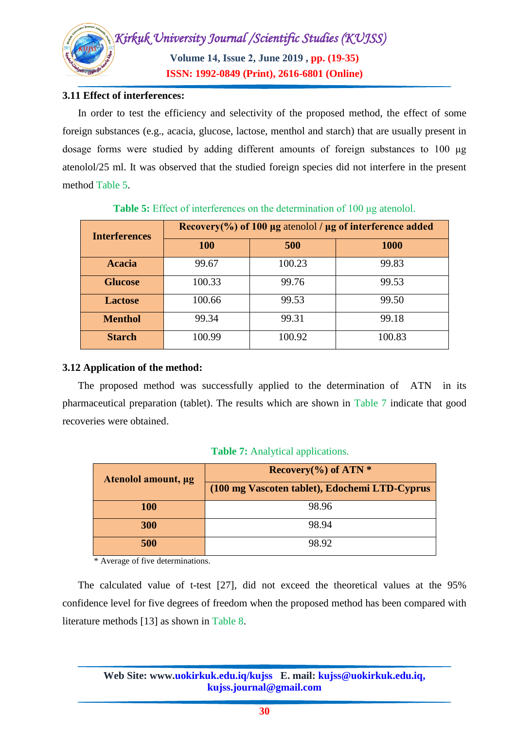

#### **3.11 Effect of interferences:**

In order to test the efficiency and selectivity of the proposed method, the effect of some foreign substances (e.g., acacia, glucose, lactose, menthol and starch) that are usually present in dosage forms were studied by adding different amounts of foreign substances to 100 μg atenolol/25 ml. It was observed that the studied foreign species did not interfere in the present method Table 5.

| <b>Interferences</b> | Recovery(%) of 100 $\mu$ g atenolol / $\mu$ g of interference added |        |             |  |  |
|----------------------|---------------------------------------------------------------------|--------|-------------|--|--|
|                      | <b>100</b>                                                          | 500    | <b>1000</b> |  |  |
| <b>Acacia</b>        | 99.67                                                               | 100.23 | 99.83       |  |  |
| <b>Glucose</b>       | 100.33                                                              | 99.76  | 99.53       |  |  |
| <b>Lactose</b>       | 100.66                                                              | 99.53  | 99.50       |  |  |
| <b>Menthol</b>       | 99.34                                                               | 99.31  | 99.18       |  |  |
| <b>Starch</b>        | 100.99                                                              | 100.92 | 100.83      |  |  |

#### **Table 5:** Effect of interferences on the determination of 100 μg atenolol.

### **3.12 Application of the method:**

The proposed method was successfully applied to the determination of ATN in its pharmaceutical preparation (tablet). The results which are shown in Table 7 indicate that good recoveries were obtained.

| Atenolol amount, µg | Recovery $(\% )$ of ATN $*$                   |  |  |
|---------------------|-----------------------------------------------|--|--|
|                     | (100 mg Vascoten tablet), Edochemi LTD-Cyprus |  |  |
| <b>100</b>          | 98.96                                         |  |  |
| 300                 | 98.94                                         |  |  |
| 500                 | 98.92                                         |  |  |

#### **Table 7:** Analytical applications.

\* Average of five determinations.

The calculated value of t-test [27], did not exceed the theoretical values at the 95% confidence level for five degrees of freedom when the proposed method has been compared with literature methods [13] as shown in Table 8.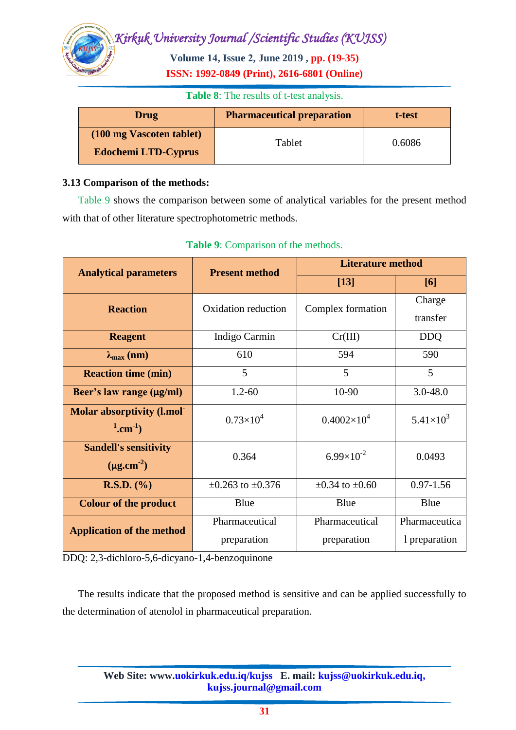**Volume 14, Issue 2, June 2019 , pp. (19-35) ISSN: 1992-0849 (Print), 2616-6801 (Online)**

#### **Table 8**: The results of t-test analysis.

| <b>Drug</b>                | <b>Pharmaceutical preparation</b> | t-test |  |
|----------------------------|-----------------------------------|--------|--|
| (100 mg Vascoten tablet)   | Tablet                            | 0.6086 |  |
| <b>Edochemi LTD-Cyprus</b> |                                   |        |  |

#### **3.13 Comparison of the methods:**

Table 9 shows the comparison between some of analytical variables for the present method with that of other literature spectrophotometric methods.

| <b>Analytical parameters</b>                                      | <b>Present method</b>         | <b>Literature method</b>      |                                |  |  |
|-------------------------------------------------------------------|-------------------------------|-------------------------------|--------------------------------|--|--|
|                                                                   |                               | $[13]$                        | [6]                            |  |  |
| <b>Reaction</b>                                                   | Oxidation reduction           | Complex formation             | Charge<br>transfer             |  |  |
| <b>Reagent</b>                                                    | Indigo Carmin                 |                               | <b>DDQ</b>                     |  |  |
| $\lambda_{\max}$ (nm)                                             | 610                           | 594                           | 590                            |  |  |
| <b>Reaction time (min)</b>                                        | 5                             | 5                             | 5                              |  |  |
| Beer's law range (µg/ml)                                          | $1.2 - 60$                    | 10-90                         | $3.0 - 48.0$                   |  |  |
| <b>Molar absorptivity (l.mol'</b><br>$^{1}$ .cm <sup>-1</sup> )   | $0.73\times10^{4}$            | $0.4002\times10^{4}$          | $5.41\times10^{3}$             |  |  |
| <b>Sandell's sensitivity</b><br>0.364<br>$(\mu \text{g.cm}^{-2})$ |                               | $6.99\times10^{-2}$           | 0.0493                         |  |  |
| <b>R.S.D.</b> $(\% )$                                             | $\pm 0.263$ to $\pm 0.376$    | $\pm 0.34$ to $\pm 0.60$      | $0.97 - 1.56$                  |  |  |
| <b>Colour of the product</b>                                      | Blue                          | Blue                          | Blue                           |  |  |
| <b>Application of the method</b>                                  | Pharmaceutical<br>preparation | Pharmaceutical<br>preparation | Pharmaceutica<br>1 preparation |  |  |

#### **Table 9**: Comparison of the methods.

DDQ: 2,3-dichloro-5,6-dicyano-1,4-benzoquinone

The results indicate that the proposed method is sensitive and can be applied successfully to the determination of atenolol in pharmaceutical preparation.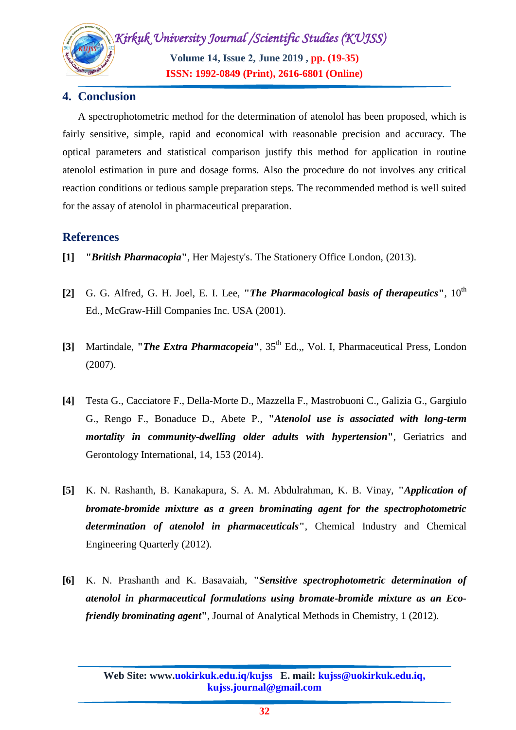*Kirkuk University Journal /Scientific Studies (KUJSS)*  **Volume 14, Issue 2, June 2019 , pp. (19-35)**

**ISSN: 1992-0849 (Print), 2616-6801 (Online)**

## **4. Conclusion**

A spectrophotometric method for the determination of atenolol has been proposed, which is fairly sensitive, simple, rapid and economical with reasonable precision and accuracy. The optical parameters and statistical comparison justify this method for application in routine atenolol estimation in pure and dosage forms. Also the procedure do not involves any critical reaction conditions or tedious sample preparation steps. The recommended method is well suited for the assay of atenolol in pharmaceutical preparation.

## **References**

- **[1] "***British Pharmacopia***"**, Her Majesty's. The Stationery Office London, (2013).
- **[2]** G. G. Alfred, G. H. Joel, E. I. Lee, **"***The Pharmacological basis of therapeutics***"**, 10th Ed., McGraw-Hill Companies Inc. USA (2001).
- **[3]** Martindale, **"***The Extra Pharmacopeia***"**, 35th Ed.,, Vol. I, Pharmaceutical Press, London (2007).
- **[4]** Testa G., Cacciatore F., Della-Morte D., Mazzella F., Mastrobuoni C., Galizia G., Gargiulo G., Rengo F., Bonaduce D., Abete P., **"***Atenolol use is associated with long-term mortality in community-dwelling older adults with hypertension***"**, Geriatrics and Gerontology International, 14, 153 (2014).
- **[5]** K. N. [Rashanth,](https://www.researchgate.net/scientific-contributions/2057362329_Kudige_Nagaraj_Rashanth) B. [Kanakapura,](https://www.researchgate.net/profile/Basavaiah_Kanakapura) S. A. M. [Abdulrahman,](https://www.researchgate.net/profile/Sameer_A_M_Abdulrahman) K. B. [Vinay,](https://www.researchgate.net/scientific-contributions/2058134556_Kanakapura_Basavaiah_Vinay) **"***Application of bromate-bromide mixture as a green brominating agent for the spectrophotometric determination of atenolol in pharmaceuticals***"**, [Chemical Industry and Chemical](https://www.researchgate.net/journal/1451-9372_Chemical_Industry_and_Chemical_Engineering_Quarterly)  [Engineering Quarterly](https://www.researchgate.net/journal/1451-9372_Chemical_Industry_and_Chemical_Engineering_Quarterly) (2012).
- **[6]** K. N. [Prashanth](https://www.ncbi.nlm.nih.gov/pubmed/?term=Prashanth%20KN%5BAuthor%5D&cauthor=true&cauthor_uid=22567567) and K. [Basavaiah,](https://www.ncbi.nlm.nih.gov/pubmed/?term=Basavaiah%20K%5BAuthor%5D&cauthor=true&cauthor_uid=22567567) **"***Sensitive spectrophotometric determination of atenolol in pharmaceutical formulations using bromate-bromide mixture as an Ecofriendly brominating agent***"**, Journal of Analytical Methods in Chemistry, 1 (2012).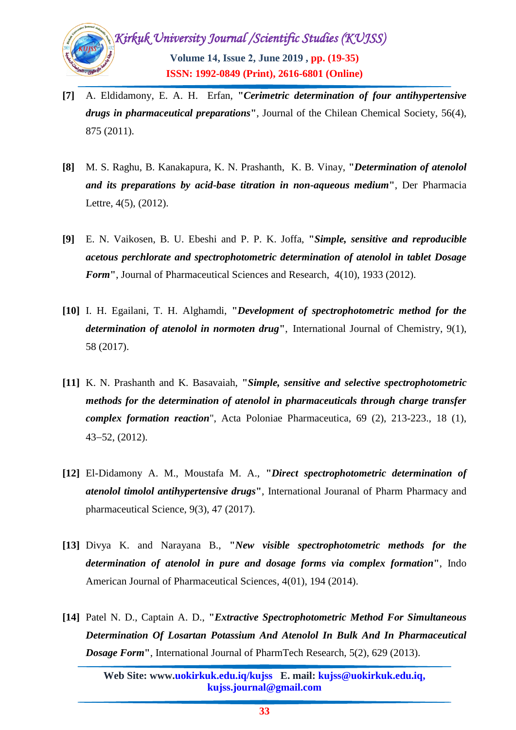

- **[7]** A. [Eldidamony,](https://www.researchgate.net/profile/Akram_Eldidamony2) E. A. H. [Erfan,](https://www.researchgate.net/scientific-contributions/16342892_EAH_ERFAN) **"***Cerimetric determination of four antihypertensive drugs in pharmaceutical preparations***"**, [Journal of the Chilean Chemical Society,](https://www.researchgate.net/journal/0717-9707_Journal_of_the_Chilean_Chemical_Society) 56(4), 875 (2011).
- **[8]** M. S. [Raghu,](https://www.researchgate.net/profile/Madihalli_S_Raghu) B. [Kanakapura,](https://www.researchgate.net/profile/Basavaiah_Kanakapura) K. N. [Prashanth,](https://www.researchgate.net/scientific-contributions/75571272_K_N_Prashanth) K. B. [Vinay,](https://www.researchgate.net/scientific-contributions/2058134556_K_B_Vinay) **"***Determination of atenolol and its preparations by acid-base titration in non-aqueous medium***"**, [Der Pharmacia](https://www.researchgate.net/journal/0975-5071_Der_Pharmacia_Lettre)  [Lettre,](https://www.researchgate.net/journal/0975-5071_Der_Pharmacia_Lettre) 4(5), (2012).
- **[9]** E. N. Vaikosen, B. U. Ebeshi and P. P. K. Joffa, **"***Simple, sensitive and reproducible acetous perchlorate and spectrophotometric determination of atenolol in tablet Dosage Form***"**, Journal of Pharmaceutical Sciences and Research, 4(10), 1933 (2012).
- **[10]** I. H. [Egailani,](https://www.researchgate.net/profile/Isam_Eldin_Elgailani2) T. H. [Alghamdi,](https://www.researchgate.net/scientific-contributions/2120439227_Tofeeg_Haseen_Alghamdi) **"***Development of spectrophotometric method for the determination of atenolol in normoten drug***"**, [International Journal of Chemistry,](https://www.researchgate.net/journal/2051-2732_International_Journal_of_Chemistry) 9(1), 58 (2017).
- **[11]** K. N. Prashanth and K. Basavaiah, **"***Simple, sensitive and selective spectrophotometric methods for the determination of atenolol in pharmaceuticals through charge transfer complex formation reaction*", Acta Poloniae Pharmaceutica, 69 (2), 213-223., 18 (1),  $43 - 52$ ,  $(2012)$ .
- **[12]** El-Didamony A. M., Moustafa M. A., **"***Direct spectrophotometric determination of atenolol timolol antihypertensive drugs***"**, International Jouranal of Pharm Pharmacy and pharmaceutical Science, 9(3), 47 (2017).
- **[13]** Divya K. and Narayana B., **"***New visible spectrophotometric methods for the determination of atenolol in pure and dosage forms via complex formation***"**, Indo American Journal of Pharmaceutical Sciences, 4(01), 194 (2014).
- **[14]** Patel N. D., Captain A. D., **"***Extractive Spectrophotometric Method For Simultaneous Determination Of Losartan Potassium And Atenolol In Bulk And In Pharmaceutical Dosage Form***"**, International Journal of PharmTech Research, 5(2), 629 (2013).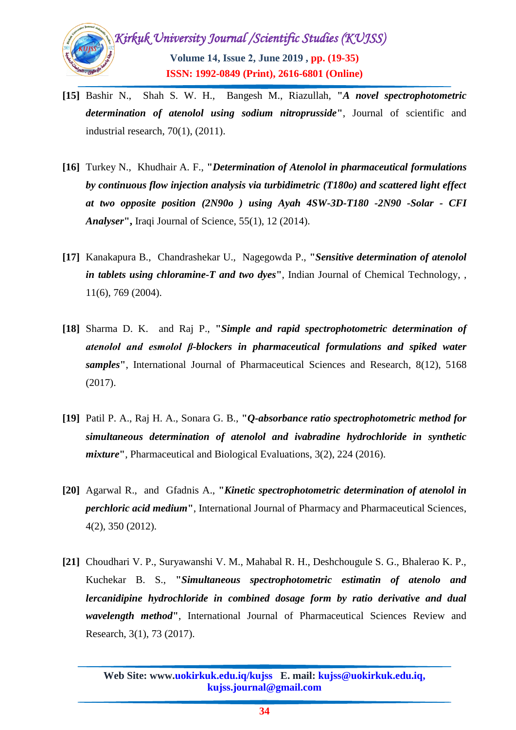

- **[15]** [Bashir](https://www.researchgate.net/scientific-contributions/2088633429_Nadia_Bashir) N., [Shah](https://www.researchgate.net/scientific-contributions/2054011515_S_W_H_Shah) S. W. H., [Bangesh](https://www.researchgate.net/scientific-contributions/2057902788_Masroor_Bangesh) M., [Riazullah,](https://www.researchgate.net/scientific-contributions/2057912095_Riazullah) **"***A novel spectrophotometric determination of atenolol using sodium nitroprusside***"**, [Journal of scientific and](https://www.researchgate.net/journal/0022-4456_Journal_of_scientific_and_industrial_research)  [industrial research,](https://www.researchgate.net/journal/0022-4456_Journal_of_scientific_and_industrial_research) 70(1), (2011).
- **[16]** [Turkey](https://www.researchgate.net/profile/Nagham_Turkey) N., [Khudhair](https://www.researchgate.net/profile/Ahmed_Fadhil_Khudhair) A. F., **"***Determination of Atenolol in pharmaceutical formulations by continuous flow injection analysis via turbidimetric (T180o) and scattered light effect at two opposite position (2N90o ) using Ayah 4SW-3D-T180 -2N90 -Solar - CFI Analyser***",** Iraqi Journal of Science, 55(1), 12 (2014).
- **[17]** [Kanakapura](https://www.researchgate.net/profile/Basavaiah_Kanakapura) B., [Chandrashekar](https://www.researchgate.net/scientific-contributions/35556014_U_Chandrashekar) U., [Nagegowda](https://www.researchgate.net/scientific-contributions/31879039_P_Nagegowda) P., **"***Sensitive determination of atenolol in tablets using chloramine-T and two dyes***"**, [Indian Journal of Chemical Technology,](https://www.researchgate.net/journal/0971-457X_Indian_Journal_of_Chemical_Technology) , 11(6), 769 (2004).
- **[18]** Sharma D. K. and Raj P., **"***Simple and rapid spectrophotometric determination of atenolol and esmolol β-blockers in pharmaceutical formulations and spiked water samples***"**, International Journal of Pharmaceutical Sciences and Research, 8(12), 5168 (2017).
- **[19]** Patil P. A., Raj H. A., Sonara G. B., **"***Q-absorbance ratio spectrophotometric method for simultaneous determination of atenolol and ivabradine hydrochloride in synthetic mixture***"**, Pharmaceutical and Biological Evaluations, 3(2), 224 (2016).
- **[20]** Agarwal R., and Gfadnis A., **"***Kinetic spectrophotometric determination of atenolol in perchloric acid medium***"**, International Journal of Pharmacy and Pharmaceutical Sciences, 4(2), 350 (2012).
- **[21]** Choudhari V. P., Suryawanshi V. M., Mahabal R. H., Deshchougule S. G., Bhalerao K. P., Kuchekar B. S., **"***Simultaneous spectrophotometric estimatin of atenolo and lercanidipine hydrochloride in combined dosage form by ratio derivative and dual wavelength method***"**, International Journal of Pharmaceutical Sciences Review and Research, 3(1), 73 (2017).

**Web Site: www.uokirkuk.edu.iq/kujss E. mail: kujss@uokirkuk.edu.iq, kujss.journal@gmail.com**